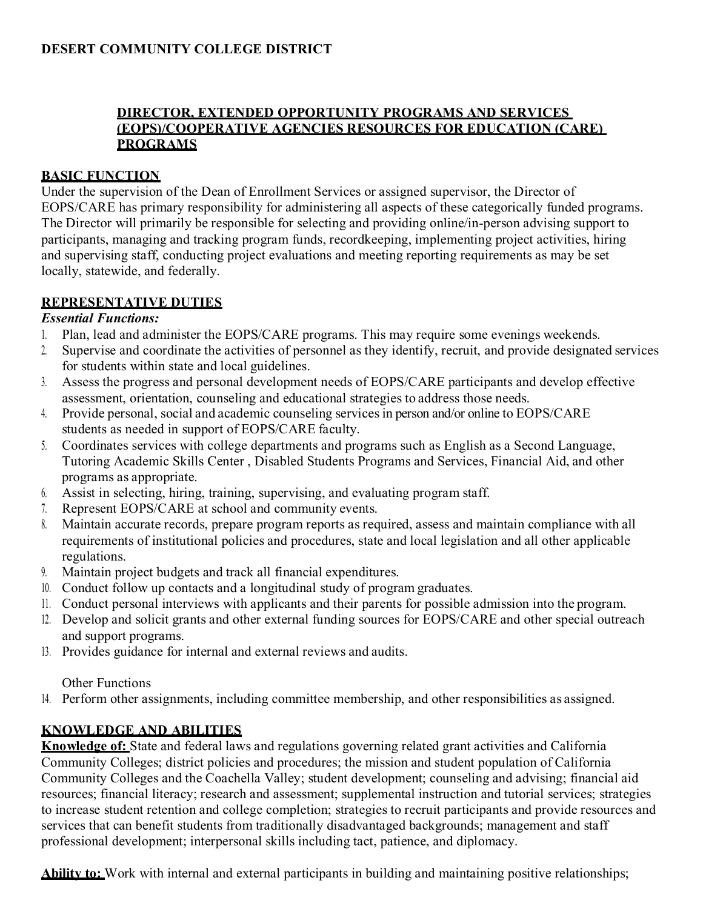# **DIRECTOR, EXTENDED OPPORTUNITY PROGRAMS AND SERVICES (EOPS)/COOPERATIVE AGENCIES RESOURCES FOR EDUCATION (CARE) PROGRAMS**

# **BASIC FUNCTION**

Under the supervision of the Dean of Enrollment Services or assigned supervisor, the Director of EOPS/CARE has primary responsibility for administering all aspects of these categorically funded programs. The Director will primarily be responsible for selecting and providing online/in-person advising support to participants, managing and tracking program funds, recordkeeping, implementing project activities, hiring and supervising staff, conducting project evaluations and meeting reporting requirements as may be set locally, statewide, and federally.

# **REPRESENTATIVE DUTIES**

# *Essential Functions:*

- 1. Plan, lead and administer the EOPS/CARE programs. This may require some evenings weekends.
- 2. Supervise and coordinate the activities of personnel as they identify, recruit, and provide designated services for students within state and local guidelines.
- 3. Assess the progress and personal development needs of EOPS/CARE participants and develop effective assessment, orientation, counseling and educational strategies to address those needs.
- 4. Provide personal, social and academic counseling servicesin person and/or online to EOPS/CARE students as needed in support of EOPS/CARE faculty.
- 5. Coordinates services with college departments and programs such as English as a Second Language, Tutoring Academic Skills Center , Disabled Students Programs and Services, Financial Aid, and other programs as appropriate.
- 6. Assist in selecting, hiring, training, supervising, and evaluating program staff.
- 7. Represent EOPS/CARE at school and community events.
- 8. Maintain accurate records, prepare program reports as required, assess and maintain compliance with all requirements of institutional policies and procedures, state and local legislation and all other applicable regulations.
- 9. Maintain project budgets and track all financial expenditures.
- 10. Conduct follow up contacts and a longitudinal study of program graduates.
- 11. Conduct personal interviews with applicants and their parents for possible admission into the program.
- 12. Develop and solicit grants and other external funding sources for EOPS/CARE and other special outreach and support programs.
- 13. Provides guidance for internal and external reviews and audits.

# Other Functions

14. Perform other assignments, including committee membership, and other responsibilities as assigned.

# **KNOWLEDGE AND ABILITIES**

**Knowledge of:** State and federal laws and regulations governing related grant activities and California Community Colleges; district policies and procedures; the mission and student population of California Community Colleges and the Coachella Valley; student development; counseling and advising; financial aid resources; financial literacy; research and assessment; supplemental instruction and tutorial services; strategies to increase student retention and college completion; strategies to recruit participants and provide resources and services that can benefit students from traditionally disadvantaged backgrounds; management and staff professional development; interpersonal skills including tact, patience, and diplomacy.

**Ability to:** Work with internal and external participants in building and maintaining positive relationships;